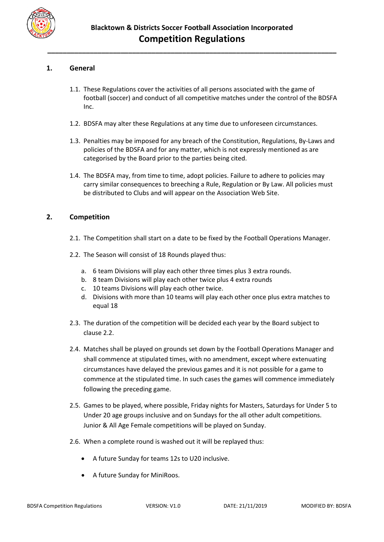

# **1. General**

- 1.1. These Regulations cover the activities of all persons associated with the game of football (soccer) and conduct of all competitive matches under the control of the BDSFA Inc.
- 1.2. BDSFA may alter these Regulations at any time due to unforeseen circumstances.
- 1.3. Penalties may be imposed for any breach of the Constitution, Regulations, By-Laws and policies of the BDSFA and for any matter, which is not expressly mentioned as are categorised by the Board prior to the parties being cited.
- 1.4. The BDSFA may, from time to time, adopt policies. Failure to adhere to policies may carry similar consequences to breeching a Rule, Regulation or By Law. All policies must be distributed to Clubs and will appear on the Association Web Site.

### **2. Competition**

- 2.1. The Competition shall start on a date to be fixed by the Football Operations Manager.
- 2.2. The Season will consist of 18 Rounds played thus:
	- a. 6 team Divisions will play each other three times plus 3 extra rounds.
	- b. 8 team Divisions will play each other twice plus 4 extra rounds
	- c. 10 teams Divisions will play each other twice.
	- d. Divisions with more than 10 teams will play each other once plus extra matches to equal 18
- 2.3. The duration of the competition will be decided each year by the Board subject to clause 2.2.
- 2.4. Matches shall be played on grounds set down by the Football Operations Manager and shall commence at stipulated times, with no amendment, except where extenuating circumstances have delayed the previous games and it is not possible for a game to commence at the stipulated time. In such cases the games will commence immediately following the preceding game.
- 2.5. Games to be played, where possible, Friday nights for Masters, Saturdays for Under 5 to Under 20 age groups inclusive and on Sundays for the all other adult competitions. Junior & All Age Female competitions will be played on Sunday.
- 2.6. When a complete round is washed out it will be replayed thus:
	- A future Sunday for teams 12s to U20 inclusive.
	- A future Sunday for MiniRoos.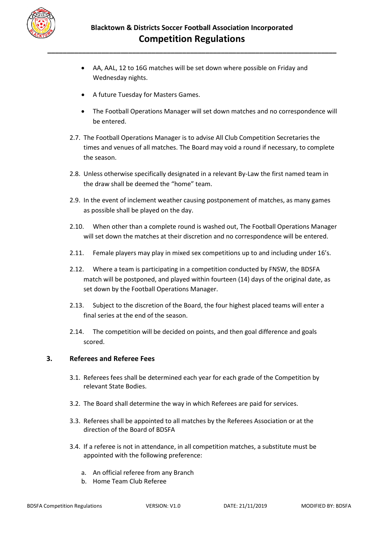

- AA, AAL, 12 to 16G matches will be set down where possible on Friday and Wednesday nights.
- A future Tuesday for Masters Games.
- The Football Operations Manager will set down matches and no correspondence will be entered.
- 2.7. The Football Operations Manager is to advise All Club Competition Secretaries the times and venues of all matches. The Board may void a round if necessary, to complete the season.
- 2.8. Unless otherwise specifically designated in a relevant By-Law the first named team in the draw shall be deemed the "home" team.
- 2.9. In the event of inclement weather causing postponement of matches, as many games as possible shall be played on the day.
- 2.10. When other than a complete round is washed out, The Football Operations Manager will set down the matches at their discretion and no correspondence will be entered.
- 2.11. Female players may play in mixed sex competitions up to and including under 16's.
- 2.12. Where a team is participating in a competition conducted by FNSW, the BDSFA match will be postponed, and played within fourteen (14) days of the original date, as set down by the Football Operations Manager.
- 2.13. Subject to the discretion of the Board, the four highest placed teams will enter a final series at the end of the season.
- 2.14. The competition will be decided on points, and then goal difference and goals scored.

### **3. Referees and Referee Fees**

- 3.1. Referees fees shall be determined each year for each grade of the Competition by relevant State Bodies.
- 3.2. The Board shall determine the way in which Referees are paid for services.
- 3.3. Referees shall be appointed to all matches by the Referees Association or at the direction of the Board of BDSFA
- 3.4. If a referee is not in attendance, in all competition matches, a substitute must be appointed with the following preference:
	- a. An official referee from any Branch
	- b. Home Team Club Referee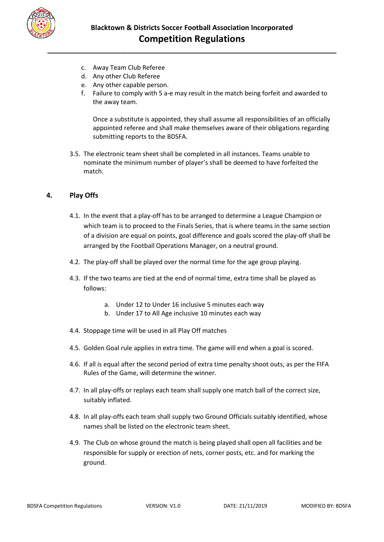

- c. Away Team Club Referee
- d. Any other Club Referee
- e. Any other capable person.
- f. Failure to comply with 5 a-e may result in the match being forfeit and awarded to the away team.

Once a substitute is appointed, they shall assume all responsibilities of an officially appointed referee and shall make themselves aware of their obligations regarding submitting reports to the BDSFA.

3.5. The electronic team sheet shall be completed in all instances. Teams unable to nominate the minimum number of player's shall be deemed to have forfeited the match.

# **4. Play Offs**

- 4.1. In the event that a play-off has to be arranged to determine a League Champion or which team is to proceed to the Finals Series, that is where teams in the same section of a division are equal on points, goal difference and goals scored the play-off shall be arranged by the Football Operations Manager, on a neutral ground.
- 4.2. The play-off shall be played over the normal time for the age group playing.
- 4.3. If the two teams are tied at the end of normal time, extra time shall be played as follows:
	- a. Under 12 to Under 16 inclusive 5 minutes each way
	- b. Under 17 to All Age inclusive 10 minutes each way
- 4.4. Stoppage time will be used in all Play Off matches
- 4.5. Golden Goal rule applies in extra time. The game will end when a goal is scored.
- 4.6. If all is equal after the second period of extra time penalty shoot outs, as per the FIFA Rules of the Game, will determine the winner.
- 4.7. In all play-offs or replays each team shall supply one match ball of the correct size, suitably inflated.
- 4.8. In all play-offs each team shall supply two Ground Officials suitably identified, whose names shall be listed on the electronic team sheet.
- 4.9. The Club on whose ground the match is being played shall open all facilities and be responsible for supply or erection of nets, corner posts, etc. and for marking the ground.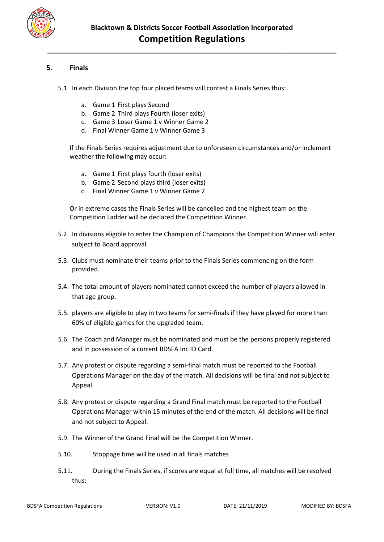

# **5. Finals**

- 5.1. In each Division the top four placed teams will contest a Finals Series thus:
	- a. Game 1 First plays Second
	- b. Game 2 Third plays Fourth (loser exits)
	- c. Game 3 Loser Game 1 v Winner Game 2
	- d. Final Winner Game 1 v Winner Game 3

If the Finals Series requires adjustment due to unforeseen circumstances and/or inclement weather the following may occur:

- a. Game 1 First plays fourth (loser exits)
- b. Game 2 Second plays third (loser exits)
- c. Final Winner Game 1 v Winner Game 2

Or in extreme cases the Finals Series will be cancelled and the highest team on the Competition Ladder will be declared the Competition Winner.

- 5.2. In divisions eligible to enter the Champion of Champions the Competition Winner will enter subject to Board approval.
- 5.3. Clubs must nominate their teams prior to the Finals Series commencing on the form provided.
- 5.4. The total amount of players nominated cannot exceed the number of players allowed in that age group.
- 5.5. players are eligible to play in two teams for semi-finals if they have played for more than 60% of eligible games for the upgraded team.
- 5.6. The Coach and Manager must be nominated and must be the persons properly registered and in possession of a current BDSFA Inc ID Card.
- 5.7. Any protest or dispute regarding a semi-final match must be reported to the Football Operations Manager on the day of the match. All decisions will be final and not subject to Appeal.
- 5.8. Any protest or dispute regarding a Grand Final match must be reported to the Football Operations Manager within 15 minutes of the end of the match. All decisions will be final and not subject to Appeal.
- 5.9. The Winner of the Grand Final will be the Competition Winner.
- 5.10. Stoppage time will be used in all finals matches
- 5.11. During the Finals Series, if scores are equal at full time, all matches will be resolved thus: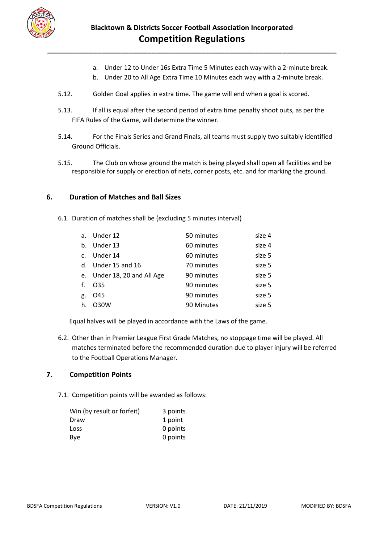

- a. Under 12 to Under 16s Extra Time 5 Minutes each way with a 2-minute break.
- b. Under 20 to All Age Extra Time 10 Minutes each way with a 2-minute break.
- 5.12. Golden Goal applies in extra time. The game will end when a goal is scored.
- 5.13. If all is equal after the second period of extra time penalty shoot outs, as per the FIFA Rules of the Game, will determine the winner.
- 5.14. For the Finals Series and Grand Finals, all teams must supply two suitably identified Ground Officials.
- 5.15. The Club on whose ground the match is being played shall open all facilities and be responsible for supply or erection of nets, corner posts, etc. and for marking the ground.

## **6. Duration of Matches and Ball Sizes**

6.1. Duration of matches shall be (excluding 5 minutes interval)

| a <sub>z</sub> | Under 12                    | 50 minutes | size 4 |
|----------------|-----------------------------|------------|--------|
| b.             | Under 13                    | 60 minutes | size 4 |
|                | c. Under 14                 | 60 minutes | size 5 |
|                | d. Under $15$ and $16$      | 70 minutes | size 5 |
|                | e. Under 18, 20 and All Age | 90 minutes | size 5 |
| f.             | O35                         | 90 minutes | size 5 |
| g.             | O45                         | 90 minutes | size 5 |
| h.             | O30W                        | 90 Minutes | size 5 |

Equal halves will be played in accordance with the Laws of the game.

6.2. Other than in Premier League First Grade Matches, no stoppage time will be played. All matches terminated before the recommended duration due to player injury will be referred to the Football Operations Manager.

### **7. Competition Points**

7.1. Competition points will be awarded as follows:

| 3 points |
|----------|
| 1 point  |
| 0 points |
| 0 points |
|          |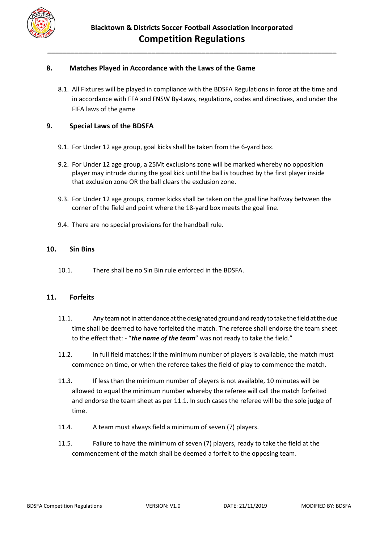

# **8. Matches Played in Accordance with the Laws of the Game**

8.1. All Fixtures will be played in compliance with the BDSFA Regulations in force at the time and in accordance with FFA and FNSW By-Laws, regulations, codes and directives, and under the FIFA laws of the game

## **9. Special Laws of the BDSFA**

- 9.1. For Under 12 age group, goal kicks shall be taken from the 6-yard box.
- 9.2. For Under 12 age group, a 25Mt exclusions zone will be marked whereby no opposition player may intrude during the goal kick until the ball is touched by the first player inside that exclusion zone OR the ball clears the exclusion zone.
- 9.3. For Under 12 age groups, corner kicks shall be taken on the goal line halfway between the corner of the field and point where the 18-yard box meets the goal line.
- 9.4. There are no special provisions for the handball rule.

# **10. Sin Bins**

10.1. There shall be no Sin Bin rule enforced in the BDSFA.

### **11. Forfeits**

- 11.1. Any team not in attendance at the designated ground and ready to take the field at the due time shall be deemed to have forfeited the match. The referee shall endorse the team sheet to the effect that: - "*the name of the team*" was not ready to take the field."
- 11.2. In full field matches; if the minimum number of players is available, the match must commence on time, or when the referee takes the field of play to commence the match.
- 11.3. If less than the minimum number of players is not available, 10 minutes will be allowed to equal the minimum number whereby the referee will call the match forfeited and endorse the team sheet as per 11.1. In such cases the referee will be the sole judge of time.
- 11.4. A team must always field a minimum of seven (7) players.
- 11.5. Failure to have the minimum of seven (7) players, ready to take the field at the commencement of the match shall be deemed a forfeit to the opposing team.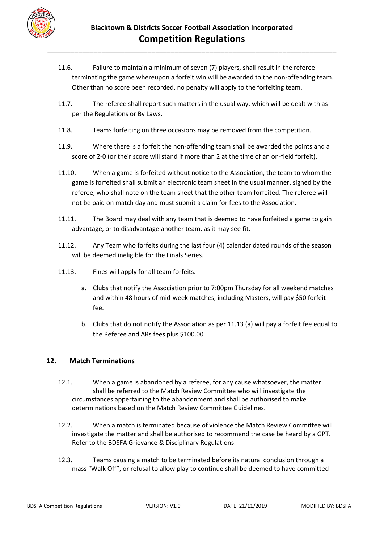

- 11.6. Failure to maintain a minimum of seven (7) players, shall result in the referee terminating the game whereupon a forfeit win will be awarded to the non-offending team. Other than no score been recorded, no penalty will apply to the forfeiting team.
- 11.7. The referee shall report such matters in the usual way, which will be dealt with as per the Regulations or By Laws.
- 11.8. Teams forfeiting on three occasions may be removed from the competition.
- 11.9. Where there is a forfeit the non-offending team shall be awarded the points and a score of 2-0 (or their score will stand if more than 2 at the time of an on-field forfeit).
- 11.10. When a game is forfeited without notice to the Association, the team to whom the game is forfeited shall submit an electronic team sheet in the usual manner, signed by the referee, who shall note on the team sheet that the other team forfeited. The referee will not be paid on match day and must submit a claim for fees to the Association.
- 11.11. The Board may deal with any team that is deemed to have forfeited a game to gain advantage, or to disadvantage another team, as it may see fit.
- 11.12. Any Team who forfeits during the last four (4) calendar dated rounds of the season will be deemed ineligible for the Finals Series.
- 11.13. Fines will apply for all team forfeits.
	- a. Clubs that notify the Association prior to 7:00pm Thursday for all weekend matches and within 48 hours of mid-week matches, including Masters, will pay \$50 forfeit fee.
	- b. Clubs that do not notify the Association as per 11.13 (a) will pay a forfeit fee equal to the Referee and ARs fees plus \$100.00

# **12. Match Terminations**

- 12.1. When a game is abandoned by a referee, for any cause whatsoever, the matter shall be referred to the Match Review Committee who will investigate the circumstances appertaining to the abandonment and shall be authorised to make determinations based on the Match Review Committee Guidelines.
- 12.2. When a match is terminated because of violence the Match Review Committee will investigate the matter and shall be authorised to recommend the case be heard by a GPT. Refer to the BDSFA Grievance & Disciplinary Regulations.
- 12.3. Teams causing a match to be terminated before its natural conclusion through a mass "Walk Off", or refusal to allow play to continue shall be deemed to have committed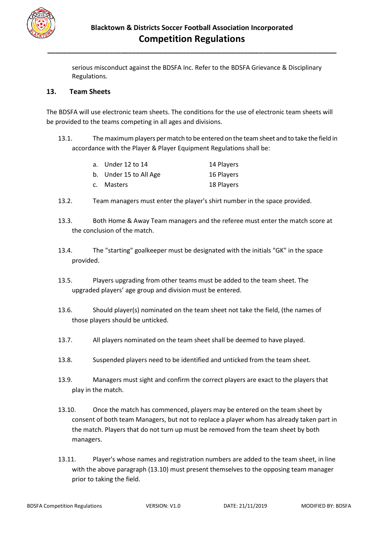

serious misconduct against the BDSFA Inc. Refer to the BDSFA Grievance & Disciplinary Regulations.

## **13. Team Sheets**

The BDSFA will use electronic team sheets. The conditions for the use of electronic team sheets will be provided to the teams competing in all ages and divisions.

13.1. The maximum players per match to be entered on the team sheet and to take the field in accordance with the Player & Player Equipment Regulations shall be:

| a. Under 12 to 14      | 14 Players |
|------------------------|------------|
| b. Under 15 to All Age | 16 Players |
| c. Masters             | 18 Players |

- 13.2. Team managers must enter the player's shirt number in the space provided.
- 13.3. Both Home & Away Team managers and the referee must enter the match score at the conclusion of the match.
- 13.4. The "starting" goalkeeper must be designated with the initials "GK" in the space provided.
- 13.5. Players upgrading from other teams must be added to the team sheet. The upgraded players' age group and division must be entered.
- 13.6. Should player(s) nominated on the team sheet not take the field, (the names of those players should be unticked.
- 13.7. All players nominated on the team sheet shall be deemed to have played.
- 13.8. Suspended players need to be identified and unticked from the team sheet.
- 13.9. Managers must sight and confirm the correct players are exact to the players that play in the match.
- 13.10. Once the match has commenced, players may be entered on the team sheet by consent of both team Managers, but not to replace a player whom has already taken part in the match. Players that do not turn up must be removed from the team sheet by both managers.
- 13.11. Player's whose names and registration numbers are added to the team sheet, in line with the above paragraph (13.10) must present themselves to the opposing team manager prior to taking the field.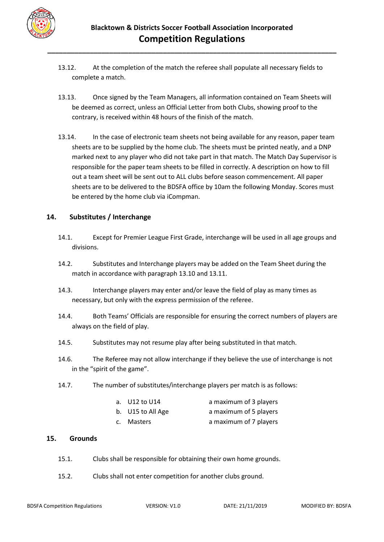

- 13.12. At the completion of the match the referee shall populate all necessary fields to complete a match.
- 13.13. Once signed by the Team Managers, all information contained on Team Sheets will be deemed as correct, unless an Official Letter from both Clubs, showing proof to the contrary, is received within 48 hours of the finish of the match.
- 13.14. In the case of electronic team sheets not being available for any reason, paper team sheets are to be supplied by the home club. The sheets must be printed neatly, and a DNP marked next to any player who did not take part in that match. The Match Day Supervisor is responsible for the paper team sheets to be filled in correctly. A description on how to fill out a team sheet will be sent out to ALL clubs before season commencement. All paper sheets are to be delivered to the BDSFA office by 10am the following Monday. Scores must be entered by the home club via iCompman.

# **14. Substitutes / Interchange**

- 14.1. Except for Premier League First Grade, interchange will be used in all age groups and divisions.
- 14.2. Substitutes and Interchange players may be added on the Team Sheet during the match in accordance with paragraph 13.10 and 13.11.
- 14.3. Interchange players may enter and/or leave the field of play as many times as necessary, but only with the express permission of the referee.
- 14.4. Both Teams' Officials are responsible for ensuring the correct numbers of players are always on the field of play.
- 14.5. Substitutes may not resume play after being substituted in that match.
- 14.6. The Referee may not allow interchange if they believe the use of interchange is not in the "spirit of the game".
- 14.7. The number of substitutes/interchange players per match is as follows:

| a. U12 to U14     | a maximum of 3 players |
|-------------------|------------------------|
| b. U15 to All Age | a maximum of 5 players |
| c. Masters        | a maximum of 7 players |

#### **15. Grounds**

- 15.1. Clubs shall be responsible for obtaining their own home grounds.
- 15.2. Clubs shall not enter competition for another clubs ground.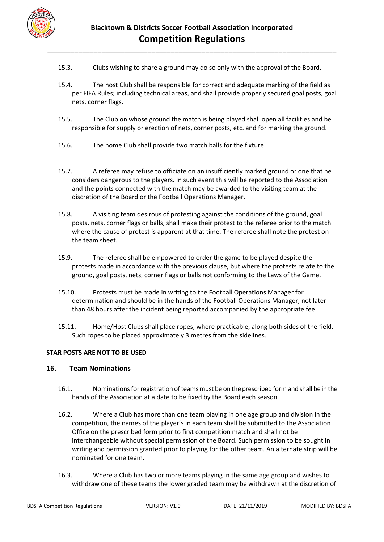

- 15.3. Clubs wishing to share a ground may do so only with the approval of the Board.
- 15.4. The host Club shall be responsible for correct and adequate marking of the field as per FIFA Rules; including technical areas, and shall provide properly secured goal posts, goal nets, corner flags.
- 15.5. The Club on whose ground the match is being played shall open all facilities and be responsible for supply or erection of nets, corner posts, etc. and for marking the ground.
- 15.6. The home Club shall provide two match balls for the fixture.
- 15.7. A referee may refuse to officiate on an insufficiently marked ground or one that he considers dangerous to the players. In such event this will be reported to the Association and the points connected with the match may be awarded to the visiting team at the discretion of the Board or the Football Operations Manager.
- 15.8. A visiting team desirous of protesting against the conditions of the ground, goal posts, nets, corner flags or balls, shall make their protest to the referee prior to the match where the cause of protest is apparent at that time. The referee shall note the protest on the team sheet.
- 15.9. The referee shall be empowered to order the game to be played despite the protests made in accordance with the previous clause, but where the protests relate to the ground, goal posts, nets, corner flags or balls not conforming to the Laws of the Game.
- 15.10. Protests must be made in writing to the Football Operations Manager for determination and should be in the hands of the Football Operations Manager, not later than 48 hours after the incident being reported accompanied by the appropriate fee.
- 15.11. Home/Host Clubs shall place ropes, where practicable, along both sides of the field. Such ropes to be placed approximately 3 metres from the sidelines.

#### **STAR POSTS ARE NOT TO BE USED**

#### **16. Team Nominations**

- 16.1. Nominations for registration of teams must be on the prescribed form and shall be in the hands of the Association at a date to be fixed by the Board each season.
- 16.2. Where a Club has more than one team playing in one age group and division in the competition, the names of the player's in each team shall be submitted to the Association Office on the prescribed form prior to first competition match and shall not be interchangeable without special permission of the Board. Such permission to be sought in writing and permission granted prior to playing for the other team. An alternate strip will be nominated for one team.
- 16.3. Where a Club has two or more teams playing in the same age group and wishes to withdraw one of these teams the lower graded team may be withdrawn at the discretion of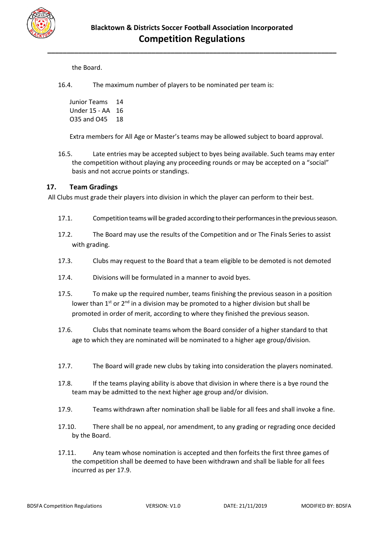

the Board.

16.4. The maximum number of players to be nominated per team is:

Junior Teams 14 Under 15 - AA 16 O35 and O45 18

Extra members for All Age or Master's teams may be allowed subject to board approval.

16.5. Late entries may be accepted subject to byes being available. Such teams may enter the competition without playing any proceeding rounds or may be accepted on a "social" basis and not accrue points or standings.

# **17. Team Gradings**

All Clubs must grade their players into division in which the player can perform to their best.

- 17.1. Competition teams will be graded according to their performances in the previous season.
- 17.2. The Board may use the results of the Competition and or The Finals Series to assist with grading.
- 17.3. Clubs may request to the Board that a team eligible to be demoted is not demoted
- 17.4. Divisions will be formulated in a manner to avoid byes.
- 17.5. To make up the required number, teams finishing the previous season in a position lower than  $1^{st}$  or  $2^{nd}$  in a division may be promoted to a higher division but shall be promoted in order of merit, according to where they finished the previous season.
- 17.6. Clubs that nominate teams whom the Board consider of a higher standard to that age to which they are nominated will be nominated to a higher age group/division.
- 17.7. The Board will grade new clubs by taking into consideration the players nominated.
- 17.8. If the teams playing ability is above that division in where there is a bye round the team may be admitted to the next higher age group and/or division.
- 17.9. Teams withdrawn after nomination shall be liable for all fees and shall invoke a fine.
- 17.10. There shall be no appeal, nor amendment, to any grading or regrading once decided by the Board.
- 17.11. Any team whose nomination is accepted and then forfeits the first three games of the competition shall be deemed to have been withdrawn and shall be liable for all fees incurred as per 17.9.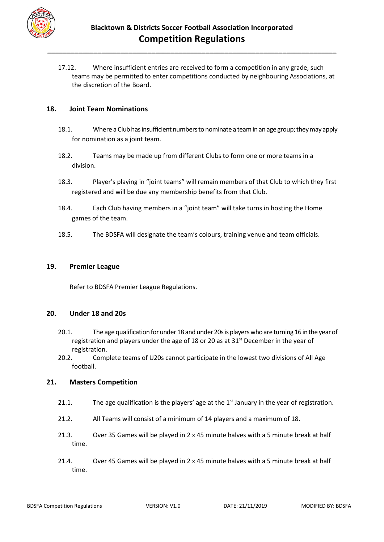

17.12. Where insufficient entries are received to form a competition in any grade, such teams may be permitted to enter competitions conducted by neighbouring Associations, at the discretion of the Board.

### **18. Joint Team Nominations**

- 18.1. Where a Club has insufficient numbers to nominate a team in an age group; they may apply for nomination as a joint team.
- 18.2. Teams may be made up from different Clubs to form one or more teams in a division.
- 18.3. Player's playing in "joint teams" will remain members of that Club to which they first registered and will be due any membership benefits from that Club.
- 18.4. Each Club having members in a "joint team" will take turns in hosting the Home games of the team.
- 18.5. The BDSFA will designate the team's colours, training venue and team officials.

#### **19. Premier League**

Refer to BDSFA Premier League Regulations.

### **20. Under 18 and 20s**

- 20.1. The age qualification for under 18 andunder 20s is players who are turning 16 in the year of registration and players under the age of 18 or 20 as at 31<sup>st</sup> December in the year of registration.
- 20.2. Complete teams of U20s cannot participate in the lowest two divisions of All Age football.

### **21. Masters Competition**

- 21.1. The age qualification is the players' age at the  $1<sup>st</sup>$  January in the year of registration.
- 21.2. All Teams will consist of a minimum of 14 players and a maximum of 18.
- 21.3. Over 35 Games will be played in 2 x 45 minute halves with a 5 minute break at half time.
- 21.4. Over 45 Games will be played in 2 x 45 minute halves with a 5 minute break at half time.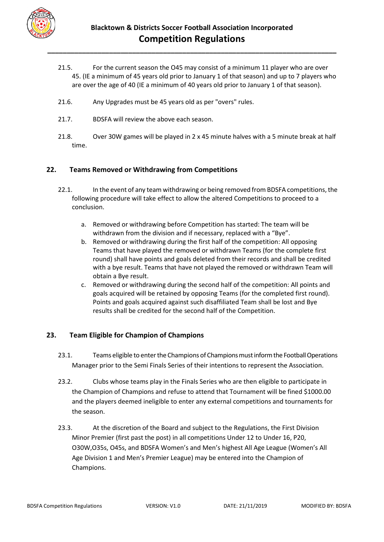

- 21.5. For the current season the O45 may consist of a minimum 11 player who are over 45. (IE a minimum of 45 years old prior to January 1 of that season) and up to 7 players who are over the age of 40 (IE a minimum of 40 years old prior to January 1 of that season).
- 21.6. Any Upgrades must be 45 years old as per "overs" rules.
- 21.7. BDSFA will review the above each season.
- 21.8. Over 30W games will be played in 2 x 45 minute halves with a 5 minute break at half time.

# **22. Teams Removed or Withdrawing from Competitions**

- 22.1. In the event of any team withdrawing or being removed from BDSFA competitions, the following procedure will take effect to allow the altered Competitions to proceed to a conclusion.
	- a. Removed or withdrawing before Competition has started: The team will be withdrawn from the division and if necessary, replaced with a "Bye".
	- b. Removed or withdrawing during the first half of the competition: All opposing Teams that have played the removed or withdrawn Teams (for the complete first round) shall have points and goals deleted from their records and shall be credited with a bye result. Teams that have not played the removed or withdrawn Team will obtain a Bye result.
	- c. Removed or withdrawing during the second half of the competition: All points and goals acquired will be retained by opposing Teams (for the completed first round). Points and goals acquired against such disaffiliated Team shall be lost and Bye results shall be credited for the second half of the Competition.

### **23. Team Eligible for Champion of Champions**

- 23.1. Teams eligible to enter the Champions of Champions must inform the Football Operations Manager prior to the Semi Finals Series of their intentions to represent the Association.
- 23.2. Clubs whose teams play in the Finals Series who are then eligible to participate in the Champion of Champions and refuse to attend that Tournament will be fined \$1000.00 and the players deemed ineligible to enter any external competitions and tournaments for the season.
- 23.3. At the discretion of the Board and subject to the Regulations, the First Division Minor Premier (first past the post) in all competitions Under 12 to Under 16, P20, O30W,O35s, O45s, and BDSFA Women's and Men's highest All Age League (Women's All Age Division 1 and Men's Premier League) may be entered into the Champion of Champions.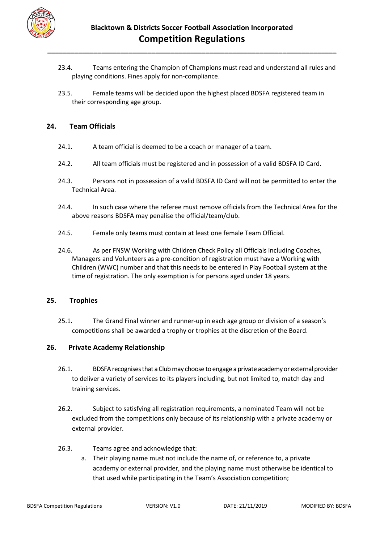

- 23.4. Teams entering the Champion of Champions must read and understand all rules and playing conditions. Fines apply for non-compliance.
- 23.5. Female teams will be decided upon the highest placed BDSFA registered team in their corresponding age group.

### **24. Team Officials**

- 24.1. A team official is deemed to be a coach or manager of a team.
- 24.2. All team officials must be registered and in possession of a valid BDSFA ID Card.
- 24.3. Persons not in possession of a valid BDSFA ID Card will not be permitted to enter the Technical Area.
- 24.4. In such case where the referee must remove officials from the Technical Area for the above reasons BDSFA may penalise the official/team/club.
- 24.5. Female only teams must contain at least one female Team Official.
- 24.6. As per FNSW Working with Children Check Policy all Officials including Coaches, Managers and Volunteers as a pre-condition of registration must have a Working with Children (WWC) number and that this needs to be entered in Play Football system at the time of registration. The only exemption is for persons aged under 18 years.

#### **25. Trophies**

25.1. The Grand Final winner and runner-up in each age group or division of a season's competitions shall be awarded a trophy or trophies at the discretion of the Board.

#### **26. Private Academy Relationship**

- 26.1. BDSFArecognises that a Club may choose to engage a private academy or external provider to deliver a variety of services to its players including, but not limited to, match day and training services.
- 26.2. Subject to satisfying all registration requirements, a nominated Team will not be excluded from the competitions only because of its relationship with a private academy or external provider.
- 26.3. Teams agree and acknowledge that:
	- a. Their playing name must not include the name of, or reference to, a private academy or external provider, and the playing name must otherwise be identical to that used while participating in the Team's Association competition;